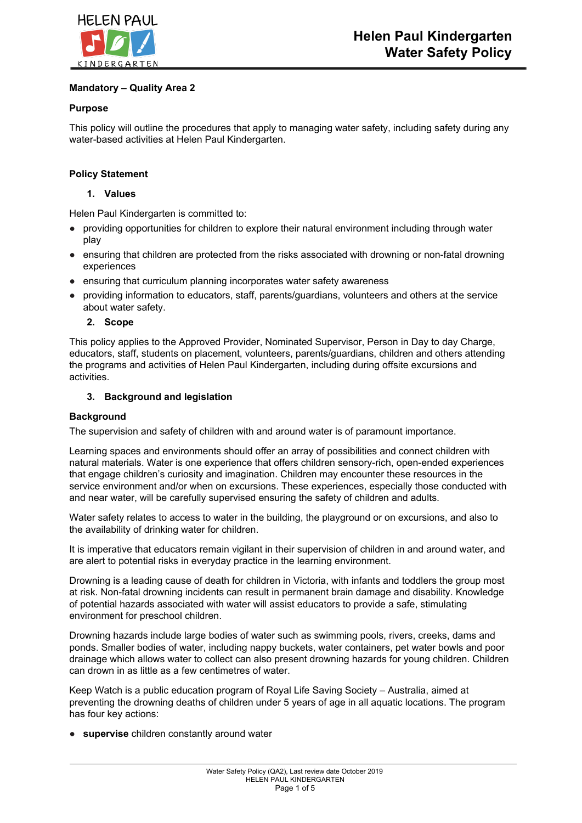

## **Mandatory – Quality Area 2**

## **Purpose**

This policy will outline the procedures that apply to managing water safety, including safety during any water-based activities at Helen Paul Kindergarten.

## **Policy Statement**

## **1. Values**

Helen Paul Kindergarten is committed to:

- providing opportunities for children to explore their natural environment including through water play
- ensuring that children are protected from the risks associated with drowning or non-fatal drowning experiences
- ensuring that curriculum planning incorporates water safety awareness
- providing information to educators, staff, parents/guardians, volunteers and others at the service about water safety.
	- **2. Scope**

This policy applies to the Approved Provider, Nominated Supervisor, Person in Day to day Charge, educators, staff, students on placement, volunteers, parents/guardians, children and others attending the programs and activities of Helen Paul Kindergarten, including during offsite excursions and activities.

## **3. Background and legislation**

## **Background**

The supervision and safety of children with and around water is of paramount importance.

Learning spaces and environments should offer an array of possibilities and connect children with natural materials. Water is one experience that offers children sensory-rich, open-ended experiences that engage children's curiosity and imagination. Children may encounter these resources in the service environment and/or when on excursions. These experiences, especially those conducted with and near water, will be carefully supervised ensuring the safety of children and adults.

Water safety relates to access to water in the building, the playground or on excursions, and also to the availability of drinking water for children.

It is imperative that educators remain vigilant in their supervision of children in and around water, and are alert to potential risks in everyday practice in the learning environment.

Drowning is a leading cause of death for children in Victoria, with infants and toddlers the group most at risk. Non-fatal drowning incidents can result in permanent brain damage and disability. Knowledge of potential hazards associated with water will assist educators to provide a safe, stimulating environment for preschool children.

Drowning hazards include large bodies of water such as swimming pools, rivers, creeks, dams and ponds. Smaller bodies of water, including nappy buckets, water containers, pet water bowls and poor drainage which allows water to collect can also present drowning hazards for young children. Children can drown in as little as a few centimetres of water.

Keep Watch is a public education program of Royal Life Saving Society – Australia, aimed at preventing the drowning deaths of children under 5 years of age in all aquatic locations. The program has four key actions:

● **supervise** children constantly around water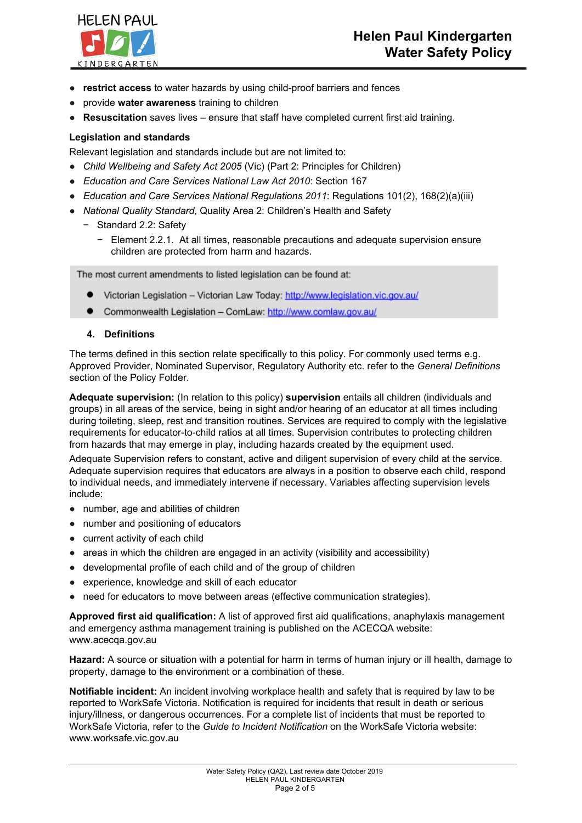

- **restrict access** to water hazards by using child-proof barriers and fences
- provide **water awareness** training to children
- **Resuscitation** saves lives ensure that staff have completed current first aid training.

### **Legislation and standards**

Relevant legislation and standards include but are not limited to:

- *Child Wellbeing and Safety Act 2005* (Vic) (Part 2: Principles for Children)
- *Education and Care Services National Law Act 2010*: Section 167
- *Education and Care Services National Regulations 2011*: Regulations 101(2), 168(2)(a)(iii)
- *National Quality Standard*, Quality Area 2: Children's Health and Safety
	- − Standard 2.2: Safety
		- − Element 2.2.1. At all times, reasonable precautions and adequate supervision ensure children are protected from harm and hazards.

The most current amendments to listed legislation can be found at:

- Victorian Legislation Victorian Law Today: http://www.legislation.vic.gov.au/
- Commonwealth Legislation ComLaw: http://www.comlaw.gov.au/

#### **4. Definitions**

The terms defined in this section relate specifically to this policy. For commonly used terms e.g. Approved Provider, Nominated Supervisor, Regulatory Authority etc. refer to the *General Definitions* section of the Policy Folder.

**Adequate supervision:** (In relation to this policy) **supervision** entails all children (individuals and groups) in all areas of the service, being in sight and/or hearing of an educator at all times including during toileting, sleep, rest and transition routines. Services are required to comply with the legislative requirements for educator-to-child ratios at all times. Supervision contributes to protecting children from hazards that may emerge in play, including hazards created by the equipment used.

Adequate Supervision refers to constant, active and diligent supervision of every child at the service. Adequate supervision requires that educators are always in a position to observe each child, respond to individual needs, and immediately intervene if necessary. Variables affecting supervision levels include:

- number, age and abilities of children
- number and positioning of educators
- current activity of each child
- areas in which the children are engaged in an activity (visibility and accessibility)
- developmental profile of each child and of the group of children
- experience, knowledge and skill of each educator
- need for educators to move between areas (effective communication strategies).

**Approved first aid qualification:** A list of approved first aid qualifications, anaphylaxis management and emergency asthma management training is published on the ACECQA website: www.acecqa.gov.au

**Hazard:** A source or situation with a potential for harm in terms of human injury or ill health, damage to property, damage to the environment or a combination of these.

**Notifiable incident:** An incident involving workplace health and safety that is required by law to be reported to WorkSafe Victoria. Notification is required for incidents that result in death or serious injury/illness, or dangerous occurrences. For a complete list of incidents that must be reported to WorkSafe Victoria, refer to the *Guide to Incident Notification* on the WorkSafe Victoria website: www.worksafe.vic.gov.au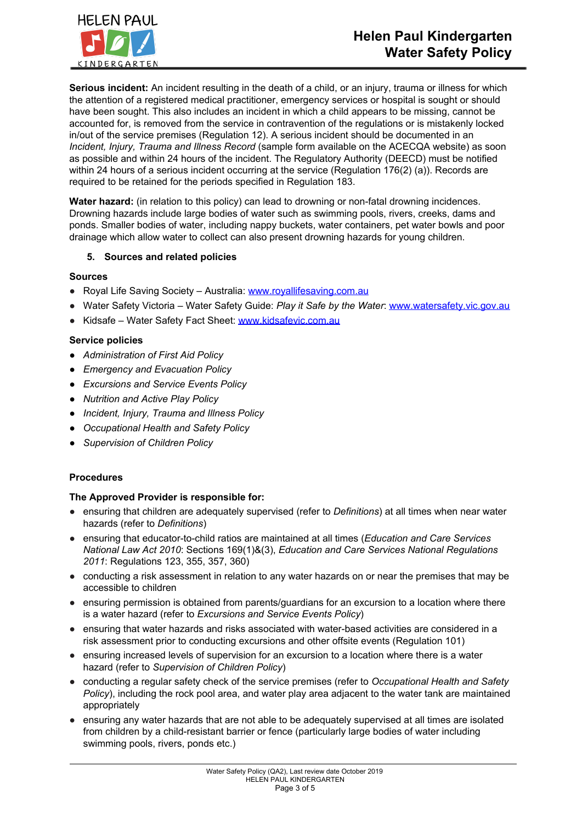

**Serious incident:** An incident resulting in the death of a child, or an injury, trauma or illness for which the attention of a registered medical practitioner, emergency services or hospital is sought or should have been sought. This also includes an incident in which a child appears to be missing, cannot be accounted for, is removed from the service in contravention of the regulations or is mistakenly locked in/out of the service premises (Regulation 12). A serious incident should be documented in an *Incident, Injury, Trauma and Illness Record* (sample form available on the ACECQA website) as soon as possible and within 24 hours of the incident. The Regulatory Authority (DEECD) must be notified within 24 hours of a serious incident occurring at the service (Regulation 176(2) (a)). Records are required to be retained for the periods specified in Regulation 183.

**Water hazard:** (in relation to this policy) can lead to drowning or non-fatal drowning incidences. Drowning hazards include large bodies of water such as swimming pools, rivers, creeks, dams and ponds. Smaller bodies of water, including nappy buckets, water containers, pet water bowls and poor drainage which allow water to collect can also present drowning hazards for young children.

## **5. Sources and related policies**

### **Sources**

- Royal Life Saving Society Australia: [www.royallifesaving.com.au](http://www.royallifesaving.com.au/)
- Water Safety Victoria Water Safety Guide: *Play it Safe by the Water*: [www.watersafety.vic.gov.au](http://www.watersafety.vic.gov.au/)
- Kidsafe Water Safety Fact Sheet: [www.kidsafevic.com.au](http://www.kidsafevic.com.au/)

## **Service policies**

- *● Administration of First Aid Policy*
- *● Emergency and Evacuation Policy*
- *● Excursions and Service Events Policy*
- *● Nutrition and Active Play Policy*
- *● Incident, Injury, Trauma and Illness Policy*
- *● Occupational Health and Safety Policy*
- *● Supervision of Children Policy*

### **Procedures**

### **The Approved Provider is responsible for:**

- ensuring that children are adequately supervised (refer to *Definitions*) at all times when near water hazards (refer to *Definitions*)
- ensuring that educator-to-child ratios are maintained at all times (*Education and Care Services National Law Act 2010*: Sections 169(1)&(3), *Education and Care Services National Regulations 2011*: Regulations 123, 355, 357, 360)
- conducting a risk assessment in relation to any water hazards on or near the premises that may be accessible to children
- ensuring permission is obtained from parents/guardians for an excursion to a location where there is a water hazard (refer to *Excursions and Service Events Policy*)
- ensuring that water hazards and risks associated with water-based activities are considered in a risk assessment prior to conducting excursions and other offsite events (Regulation 101)
- ensuring increased levels of supervision for an excursion to a location where there is a water hazard (refer to *Supervision of Children Policy*)
- conducting a regular safety check of the service premises (refer to *Occupational Health and Safety Policy*), including the rock pool area, and water play area adjacent to the water tank are maintained appropriately
- ensuring any water hazards that are not able to be adequately supervised at all times are isolated from children by a child-resistant barrier or fence (particularly large bodies of water including swimming pools, rivers, ponds etc.)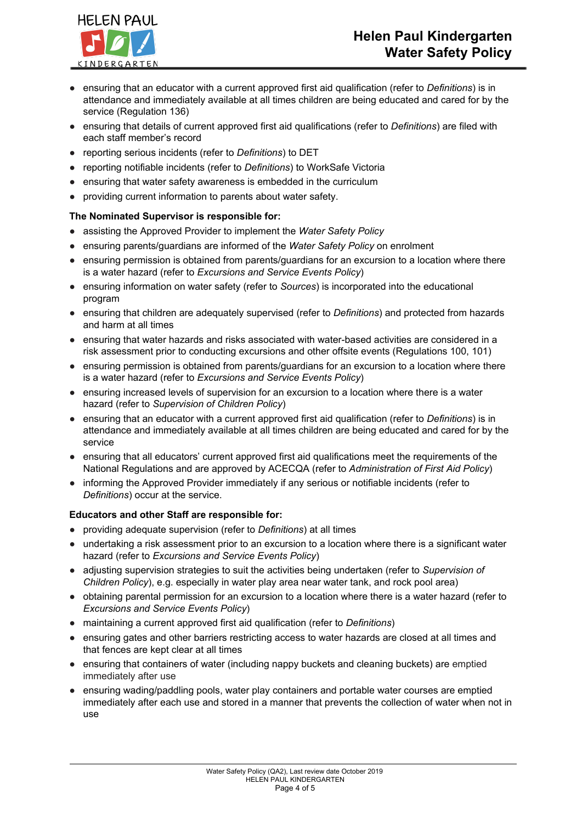# **Helen Paul Kindergarten Water Safety Policy**



- ensuring that an educator with a current approved first aid qualification (refer to *Definitions*) is in attendance and immediately available at all times children are being educated and cared for by the service (Regulation 136)
- ensuring that details of current approved first aid qualifications (refer to *Definitions*) are filed with each staff member's record
- reporting serious incidents (refer to *Definitions*) to DET
- reporting notifiable incidents (refer to *Definitions*) to WorkSafe Victoria
- ensuring that water safety awareness is embedded in the curriculum
- providing current information to parents about water safety.

## **The Nominated Supervisor is responsible for:**

- assisting the Approved Provider to implement the *Water Safety Policy*
- ensuring parents/guardians are informed of the *Water Safety Policy* on enrolment
- ensuring permission is obtained from parents/guardians for an excursion to a location where there is a water hazard (refer to *Excursions and Service Events Policy*)
- ensuring information on water safety (refer to *Sources*) is incorporated into the educational program
- ensuring that children are adequately supervised (refer to *Definitions*) and protected from hazards and harm at all times
- ensuring that water hazards and risks associated with water-based activities are considered in a risk assessment prior to conducting excursions and other offsite events (Regulations 100, 101)
- ensuring permission is obtained from parents/guardians for an excursion to a location where there is a water hazard (refer to *Excursions and Service Events Policy*)
- ensuring increased levels of supervision for an excursion to a location where there is a water hazard (refer to *Supervision of Children Policy*)
- ensuring that an educator with a current approved first aid qualification (refer to *Definitions*) is in attendance and immediately available at all times children are being educated and cared for by the service
- ensuring that all educators' current approved first aid qualifications meet the requirements of the National Regulations and are approved by ACECQA (refer to *Administration of First Aid Policy*)
- informing the Approved Provider immediately if any serious or notifiable incidents (refer to *Definitions*) occur at the service.

## **Educators and other Staff are responsible for:**

- providing adequate supervision (refer to *Definitions*) at all times
- undertaking a risk assessment prior to an excursion to a location where there is a significant water hazard (refer to *Excursions and Service Events Policy*)
- adjusting supervision strategies to suit the activities being undertaken (refer to *Supervision of Children Policy*), e.g. especially in water play area near water tank, and rock pool area)
- obtaining parental permission for an excursion to a location where there is a water hazard (refer to *Excursions and Service Events Policy*)
- maintaining a current approved first aid qualification (refer to *Definitions*)
- ensuring gates and other barriers restricting access to water hazards are closed at all times and that fences are kept clear at all times
- ensuring that containers of water (including nappy buckets and cleaning buckets) are emptied immediately after use
- ensuring wading/paddling pools, water play containers and portable water courses are emptied immediately after each use and stored in a manner that prevents the collection of water when not in use